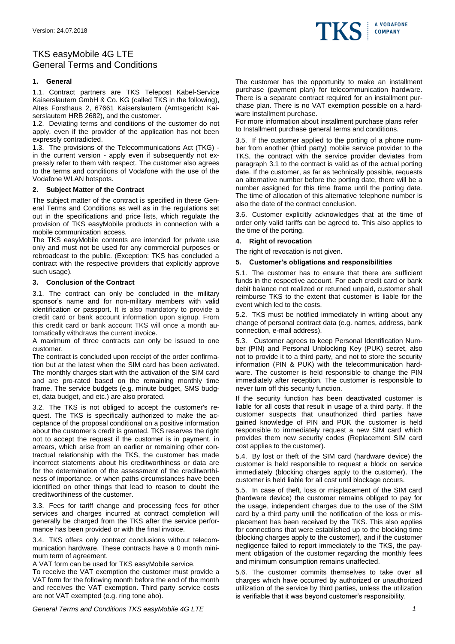

# TKS easyMobile 4G LTE General Terms and Conditions

# **1. General**

1.1. Contract partners are TKS Telepost Kabel-Service Kaiserslautern GmbH & Co. KG (called TKS in the following), Altes Forsthaus 2, 67661 Kaiserslautern (Amtsgericht Kaiserslautern HRB 2682), and the customer.

1.2. Deviating terms and conditions of the customer do not apply, even if the provider of the application has not been expressly contradicted.

1.3. The provisions of the Telecommunications Act (TKG) in the current version - apply even if subsequently not expressly refer to them with respect. The customer also agrees to the terms and conditions of Vodafone with the use of the Vodafone WLAN hotspots.

### **2. Subject Matter of the Contract**

The subject matter of the contract is specified in these General Terms and Conditions as well as in the regulations set out in the specifications and price lists, which regulate the provision of TKS easyMobile products in connection with a mobile communication access.

The TKS easyMobile contents are intended for private use only and must not be used for any commercial purposes or rebroadcast to the public. (Exception: TKS has concluded a contract with the respective providers that explicitly approve such usage).

### **3. Conclusion of the Contract**

3.1. The contract can only be concluded in the military sponsor's name and for non-military members with valid identification or passport. It is also mandatory to provide a credit card or bank account information upon signup. From this credit card or bank account TKS will once a month automatically withdraws the current invoice.

A maximum of three contracts can only be issued to one customer.

The contract is concluded upon receipt of the order confirmation but at the latest when the SIM card has been activated. The monthly charges start with the activation of the SIM card and are pro-rated based on the remaining monthly time frame. The service budgets (e.g. minute budget, SMS budget, data budget, and etc.) are also prorated.

3.2. The TKS is not obliged to accept the customer's request. The TKS is specifically authorized to make the acceptance of the proposal conditional on a positive information about the customer's credit is granted. TKS reserves the right not to accept the request if the customer is in payment, in arrears, which arise from an earlier or remaining other contractual relationship with the TKS, the customer has made incorrect statements about his creditworthiness or data are for the determination of the assessment of the creditworthiness of importance, or when paths circumstances have been identified on other things that lead to reason to doubt the creditworthiness of the customer.

3.3. Fees for tariff change and processing fees for other services and charges incurred at contract completion will generally be charged from the TKS after the service performance has been provided or with the final invoice.

3.4. TKS offers only contract conclusions without telecommunication hardware. These contracts have a 0 month minimum term of agreement.

A VAT form can be used for TKS easyMobile service.

To receive the VAT exemption the customer must provide a VAT form for the following month before the end of the month and receives the VAT exemption. Third party service costs are not VAT exempted (e.g. ring tone abo).

The customer has the opportunity to make an installment purchase (payment plan) for telecommunication hardware. There is a separate contract required for an installment purchase plan. There is no VAT exemption possible on a hardware installment purchase.

For more information about installment purchase plans refer to Installment purchase general terms and conditions.

3.5. If the customer applied to the porting of a phone number from another (third party) mobile service provider to the TKS, the contract with the service provider deviates from paragraph 3.1 to the contract is valid as of the actual porting date. If the customer, as far as technically possible, requests an alternative number before the porting date, there will be a number assigned for this time frame until the porting date. The time of allocation of this alternative telephone number is also the date of the contract conclusion.

3.6. Customer explicitly acknowledges that at the time of order only valid tariffs can be agreed to. This also applies to the time of the porting.

### **4. Right of revocation**

The right of revocation is not given.

### **5. Customer's obligations and responsibilities**

5.1. The customer has to ensure that there are sufficient funds in the respective account. For each credit card or bank debit balance not realized or returned unpaid, customer shall reimburse TKS to the extent that customer is liable for the event which led to the costs.

5.2. TKS must be notified immediately in writing about any change of personal contract data (e.g. names, address, bank connection, e-mail address).

5.3. Customer agrees to keep Personal Identification Number (PIN) and Personal Unblocking Key (PUK) secret, also not to provide it to a third party, and not to store the security information (PIN & PUK) with the telecommunication hardware. The customer is held responsible to change the PIN immediately after reception. The customer is responsible to never turn off this security function.

If the security function has been deactivated customer is liable for all costs that result in usage of a third party. If the customer suspects that unauthorized third parties have gained knowledge of PIN and PUK the customer is held responsible to immediately request a new SIM card which provides them new security codes (Replacement SIM card cost applies to the customer).

5.4. By lost or theft of the SIM card (hardware device) the customer is held responsible to request a block on service immediately (blocking charges apply to the customer). The customer is held liable for all cost until blockage occurs.

5.5. In case of theft, loss or misplacement of the SIM card (hardware device) the customer remains obliged to pay for the usage, independent charges due to the use of the SIM card by a third party until the notification of the loss or misplacement has been received by the TKS. This also applies for connections that were established up to the blocking time (blocking charges apply to the customer), and if the customer negligence failed to report immediately to the TKS, the payment obligation of the customer regarding the monthly fees and minimum consumption remains unaffected.

5.6. The customer commits themselves to take over all charges which have occurred by authorized or unauthorized utilization of the service by third parties, unless the utilization is verifiable that it was beyond customer's responsibility.

*General Terms and Conditions TKS easyMobile 4G LTE 1*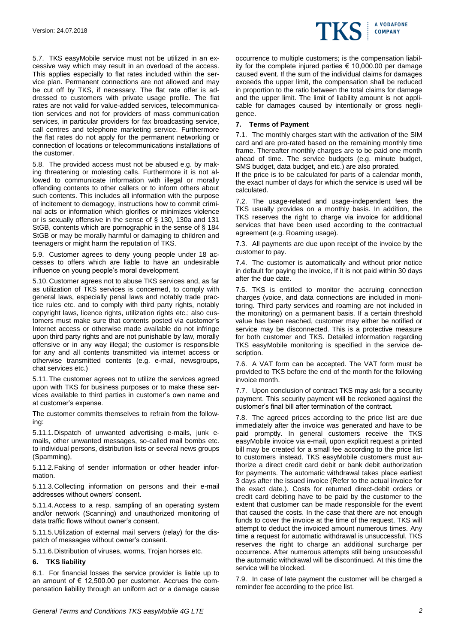5.7. TKS easyMobile service must not be utilized in an excessive way which may result in an overload of the access. This applies especially to flat rates included within the service plan. Permanent connections are not allowed and may be cut off by TKS, if necessary. The flat rate offer is addressed to customers with private usage profile. The flat rates are not valid for value-added services, telecommunication services and not for providers of mass communication services, in particular providers for fax broadcasting service, call centres and telephone marketing service. Furthermore the flat rates do not apply for the permanent networking or connection of locations or telecommunications installations of the customer.

5.8. The provided access must not be abused e.g. by making threatening or molesting calls. Furthermore it is not allowed to communicate information with illegal or morally offending contents to other callers or to inform others about such contents. This includes all information with the purpose of incitement to demagogy, instructions how to commit criminal acts or information which glorifies or minimizes violence or is sexually offensive in the sense of § 130, 130a and 131 StGB, contents which are pornographic in the sense of § 184 StGB or may be morally harmful or damaging to children and teenagers or might harm the reputation of TKS.

5.9. Customer agrees to deny young people under 18 accesses to offers which are liable to have an undesirable influence on young people's moral development.

5.10. Customer agrees not to abuse TKS services and, as far as utilization of TKS services is concerned, to comply with general laws, especially penal laws and notably trade practice rules etc. and to comply with third party rights, notably copyright laws, licence rights, utilization rights etc.; also customers must make sure that contents posted via customer's Internet access or otherwise made available do not infringe upon third party rights and are not punishable by law, morally offensive or in any way illegal; the customer is responsible for any and all contents transmitted via internet access or otherwise transmitted contents (e.g. e-mail, newsgroups, chat services etc.)

5.11. The customer agrees not to utilize the services agreed upon with TKS for business purposes or to make these services available to third parties in customer's own name and at customer's expense.

The customer commits themselves to refrain from the following:

5.11.1.Dispatch of unwanted advertising e-mails, junk emails, other unwanted messages, so-called mail bombs etc. to individual persons, distribution lists or several news groups (Spamming),

5.11.2.Faking of sender information or other header information.

5.11.3.Collecting information on persons and their e-mail addresses without owners' consent.

5.11.4.Access to a resp. sampling of an operating system and/or network (Scanning) and unauthorized monitoring of data traffic flows without owner's consent.

5.11.5.Utilization of external mail servers (relay) for the dispatch of messages without owner's consent.

5.11.6.Distribution of viruses, worms, Trojan horses etc.

### **6. TKS liability**

6.1. For financial losses the service provider is liable up to an amount of € 12,500.00 per customer. Accrues the compensation liability through an uniform act or a damage cause occurrence to multiple customers; is the compensation liability for the complete injured parties € 10,000.00 per damage caused event. If the sum of the individual claims for damages exceeds the upper limit, the compensation shall be reduced in proportion to the ratio between the total claims for damage and the upper limit. The limit of liability amount is not applicable for damages caused by intentionally or gross negligence.

### **7. Terms of Payment**

7.1. The monthly charges start with the activation of the SIM card and are pro-rated based on the remaining monthly time frame. Thereafter monthly charges are to be paid one month ahead of time. The service budgets (e.g. minute budget, SMS budget, data budget, and etc.) are also prorated.

If the price is to be calculated for parts of a calendar month, the exact number of days for which the service is used will be calculated.

7.2. The usage-related and usage-independent fees the TKS usually provides on a monthly basis. In addition, the TKS reserves the right to charge via invoice for additional services that have been used according to the contractual agreement (e.g. Roaming usage).

7.3. All payments are due upon receipt of the invoice by the customer to pay.

7.4. The customer is automatically and without prior notice in default for paying the invoice, if it is not paid within 30 days after the due date.

7.5. TKS is entitled to monitor the accruing connection charges (voice, and data connections are included in monitoring. Third party services and roaming are not included in the monitoring) on a permanent basis. If a certain threshold value has been reached, customer may either be notified or service may be disconnected. This is a protective measure for both customer and TKS. Detailed information regarding TKS easyMobile monitoring is specified in the service description.

7.6. A VAT form can be accepted. The VAT form must be provided to TKS before the end of the month for the following invoice month.

7.7. Upon conclusion of contract TKS may ask for a security payment. This security payment will be reckoned against the customer's final bill after termination of the contract.

7.8. The agreed prices according to the price list are due immediately after the invoice was generated and have to be paid promptly. In general customers receive the TKS easyMobile invoice via e-mail, upon explicit request a printed bill may be created for a small fee according to the price list to customers instead. TKS easyMobile customers must authorize a direct credit card debit or bank debit authorization for payments. The automatic withdrawal takes place earliest 3 days after the issued invoice (Refer to the actual invoice for the exact date.). Costs for returned direct-debit orders or credit card debiting have to be paid by the customer to the extent that customer can be made responsible for the event that caused the costs. In the case that there are not enough funds to cover the invoice at the time of the request, TKS will attempt to deduct the invoiced amount numerous times. Any time a request for automatic withdrawal is unsuccessful, TKS reserves the right to charge an additional surcharge per occurrence. After numerous attempts still being unsuccessful the automatic withdrawal will be discontinued. At this time the service will be blocked.

7.9. In case of late payment the customer will be charged a reminder fee according to the price list.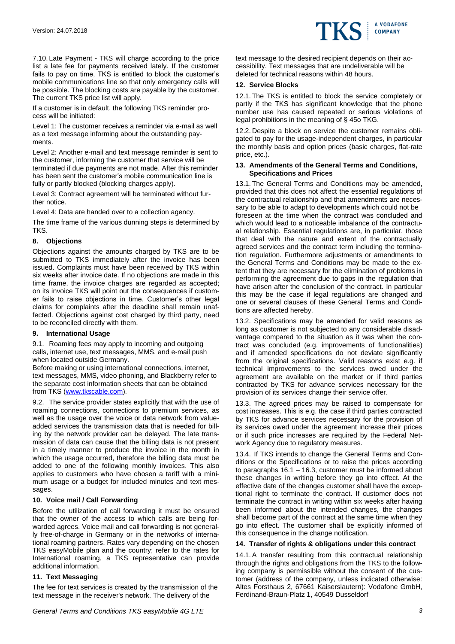

7.10. Late Payment - TKS will charge according to the price list a late fee for payments received lately. If the customer fails to pay on time, TKS is entitled to block the customer's mobile communications line so that only emergency calls will be possible. The blocking costs are payable by the customer. The current TKS price list will apply.

If a customer is in default, the following TKS reminder process will be initiated:

Level 1: The customer receives a reminder via e-mail as well as a text message informing about the outstanding payments.

Level 2: Another e-mail and text message reminder is sent to the customer, informing the customer that service will be terminated if due payments are not made. After this reminder has been sent the customer's mobile communication line is fully or partly blocked (blocking charges apply).

Level 3: Contract agreement will be terminated without further notice.

Level 4: Data are handed over to a collection agency.

The time frame of the various dunning steps is determined by TKS.

### **8. Objections**

Objections against the amounts charged by TKS are to be submitted to TKS immediately after the invoice has been issued. Complaints must have been received by TKS within six weeks after invoice date. If no objections are made in this time frame, the invoice charges are regarded as accepted; on its invoice TKS will point out the consequences if customer fails to raise objections in time. Customer's other legal claims for complaints after the deadline shall remain unaffected. Objections against cost charged by third party, need to be reconciled directly with them.

### **9. International Usage**

9.1. Roaming fees may apply to incoming and outgoing calls, internet use, text messages, MMS, and e-mail push when located outside Germany.

Before making or using international connections, internet, text messages, MMS, video phoning, and Blackberry refer to the separate cost information sheets that can be obtained from TKS [\(www.tkscable.com\)](http://www.tkscable.com/).

9.2. The service provider states explicitly that with the use of roaming connections, connections to premium services, as well as the usage over the voice or data network from valueadded services the transmission data that is needed for billing by the network provider can be delayed. The late transmission of data can cause that the billing data is not present in a timely manner to produce the invoice in the month in which the usage occurred, therefore the billing data must be added to one of the following monthly invoices. This also applies to customers who have chosen a tariff with a minimum usage or a budget for included minutes and text messages.

# **10. Voice mail / Call Forwarding**

Before the utilization of call forwarding it must be ensured that the owner of the access to which calls are being forwarded agrees. Voice mail and call forwarding is not generally free-of-charge in Germany or in the networks of international roaming partners. Rates vary depending on the chosen TKS easyMobile plan and the country; refer to the rates for International roaming, a TKS representative can provide additional information.

# **11. Text Messaging**

The fee for text services is created by the transmission of the text message in the receiver's network. The delivery of the

text message to the desired recipient depends on their accessibility. Text messages that are undeliverable will be deleted for technical reasons within 48 hours.

### **12. Service Blocks**

12.1. The TKS is entitled to block the service completely or partly if the TKS has significant knowledge that the phone number use has caused repeated or serious violations of legal prohibitions in the meaning of § 45o TKG.

12.2. Despite a block on service the customer remains obligated to pay for the usage-independent charges, in particular the monthly basis and option prices (basic charges, flat-rate price, etc.).

#### **13. Amendments of the General Terms and Conditions, Specifications and Prices**

13.1. The General Terms and Conditions may be amended, provided that this does not affect the essential regulations of the contractual relationship and that amendments are necessary to be able to adapt to developments which could not be foreseen at the time when the contract was concluded and which would lead to a noticeable imbalance of the contractual relationship. Essential regulations are, in particular, those that deal with the nature and extent of the contractually agreed services and the contract term including the termination regulation. Furthermore adjustments or amendments to the General Terms and Conditions may be made to the extent that they are necessary for the elimination of problems in performing the agreement due to gaps in the regulation that have arisen after the conclusion of the contract. In particular this may be the case if legal regulations are changed and one or several clauses of these General Terms and Conditions are affected hereby.

13.2. Specifications may be amended for valid reasons as long as customer is not subjected to any considerable disadvantage compared to the situation as it was when the contract was concluded (e.g. improvements of functionalities) and if amended specifications do not deviate significantly from the original specifications. Valid reasons exist e.g. if technical improvements to the services owed under the agreement are available on the market or if third parties contracted by TKS for advance services necessary for the provision of its services change their service offer.

13.3. The agreed prices may be raised to compensate for cost increases. This is e.g. the case if third parties contracted by TKS for advance services necessary for the provision of its services owed under the agreement increase their prices or if such price increases are required by the Federal Network Agency due to regulatory measures.

13.4. If TKS intends to change the General Terms and Conditions or the Specifications or to raise the prices according to paragraphs 16.1 – 16.3, customer must be informed about these changes in writing before they go into effect. At the effective date of the changes customer shall have the exceptional right to terminate the contract. If customer does not terminate the contract in writing within six weeks after having been informed about the intended changes, the changes shall become part of the contract at the same time when they go into effect. The customer shall be explicitly informed of this consequence in the change notification.

### **14. Transfer of rights & obligations under this contract**

14.1. A transfer resulting from this contractual relationship through the rights and obligations from the TKS to the following company is permissible without the consent of the customer (address of the company, unless indicated otherwise: Altes Forsthaus 2, 67661 Kaiserslautern): Vodafone GmbH, Ferdinand-Braun-Platz 1, 40549 Dusseldorf